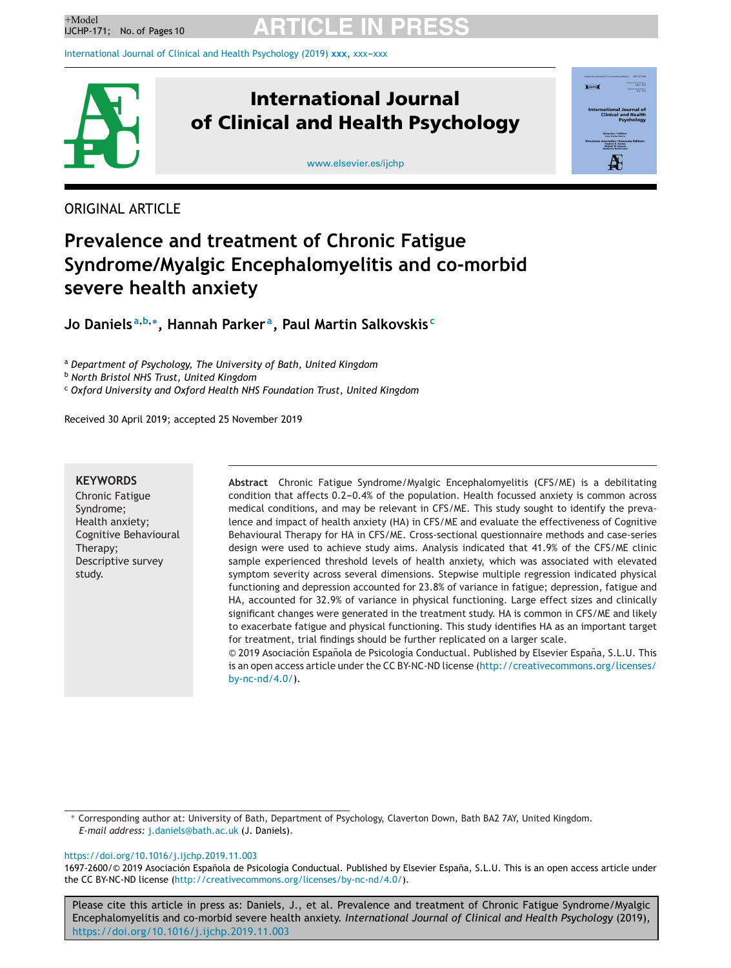[International](https://doi.org/10.1016/j.ijchp.2019.11.003) Journal of Clinical and Health Psychology (2019) xxx, xxx-xxx



ORIGINAL ARTICLE

## **Prevalence and treatment of Chronic Fatigue Syndrome/Myalgic Encephalomyelitis and co-morbid severe health anxiety**

**Jo Daniels <sup>a</sup>,b,∗, Hannah Parker a, Paul Martin Salkovskis <sup>c</sup>**

<sup>a</sup> *Department of Psychology, The University of Bath, United Kingdom*

<sup>b</sup> *North Bristol NHS Trust, United Kingdom*

<sup>c</sup> *Oxford University and Oxford Health NHS Foundation Trust, United Kingdom*

Received 30 April 2019; accepted 25 November 2019

### **KEYWORDS**

Chronic Fatigue Syndrome; Health anxiety; Cognitive Behavioural Therapy; Descriptive survey study.

**Abstract** Chronic Fatigue Syndrome/Myalgic Encephalomyelitis (CFS/ME) is a debilitating condition that affects 0.2-0.4% of the population. Health focussed anxiety is common across medical conditions, and may be relevant in CFS/ME. This study sought to identify the prevalence and impact of health anxiety (HA) in CFS/ME and evaluate the effectiveness of Cognitive Behavioural Therapy for HA in CFS/ME. Cross-sectional questionnaire methods and case-series design were used to achieve study aims. Analysis indicated that 41.9% of the CFS/ME clinic sample experienced threshold levels of health anxiety, which was associated with elevated symptom severity across several dimensions. Stepwise multiple regression indicated physical functioning and depression accounted for 23.8% of variance in fatigue; depression, fatigue and HA, accounted for 32.9% of variance in physical functioning. Large effect sizes and clinically significant changes were generated in the treatment study. HA is common in CFS/ME and likely to exacerbate fatigue and physical functioning. This study identifies HA as an important target for treatment, trial findings should be further replicated on a larger scale. © 2019 Asociación Española de Psicología Conductual. Published by Elsevier España, S.L.U. This

is an open access article under the CC BY-NC-ND license [\(http://creativecommons.org/licenses/](http://creativecommons.org/licenses/by-nc-nd/4.0/) [by-nc-nd/4.0/](http://creativecommons.org/licenses/by-nc-nd/4.0/)).

∗ Corresponding author at: University of Bath, Department of Psychology, Claverton Down, Bath BA2 7AY, United Kingdom. *E-mail address:* [j.daniels@bath.ac.uk](mailto:j.daniels@bath.ac.uk) (J. Daniels).

<https://doi.org/10.1016/j.ijchp.2019.11.003>

1697-2600/© 2019 Asociación Española de Psicología Conductual. Published by Elsevier España, S.L.U. This is an open access article under the CC BY-NC-ND license ([http://creativecommons.org/licenses/by-nc-nd/4.0/\)](http://creativecommons.org/licenses/by-nc-nd/4.0/).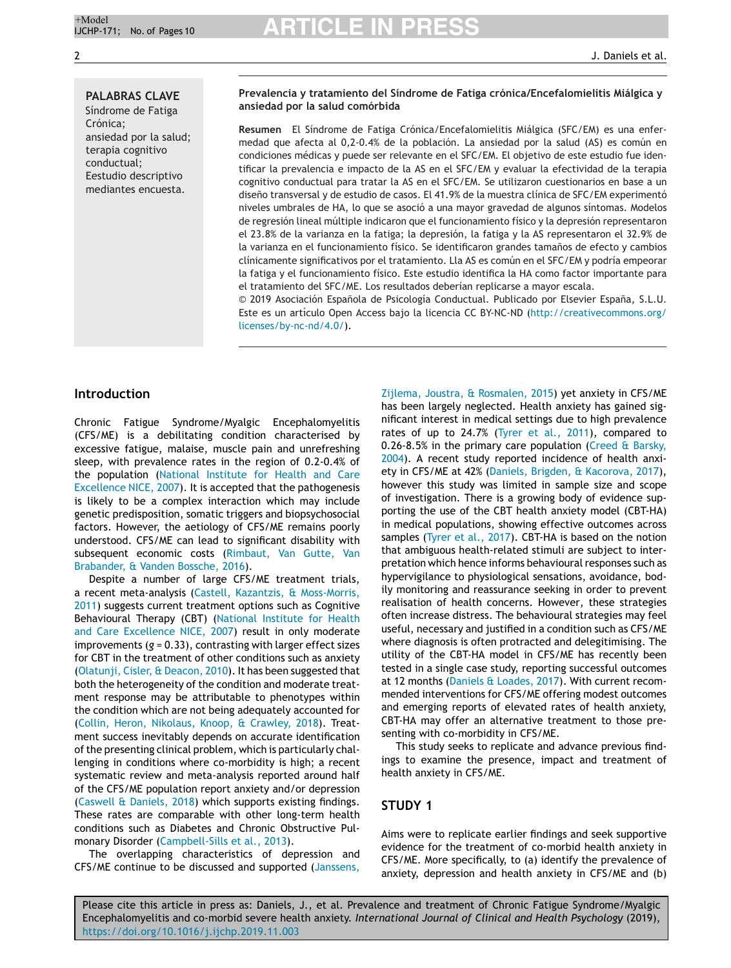## **PALABRAS CLAVE**

Síndrome de Fatiga Crónica; ansiedad por la salud; terapia cognitivo conductual; Eestudio descriptivo mediantes encuesta.

## <sup>+Model</sup><br>IJCHP-171; No. of Pages 10<br>
ARTICLE IN PRESS

### **Prevalencia y tratamiento del Síndrome de Fatiga crónica/Encefalomielitis Miálgica y ansiedad por la salud comórbida**

**Resumen** El Síndrome de Fatiga Crónica/Encefalomielitis Miálgica (SFC/EM) es una enfermedad que afecta al 0,2-0.4% de la población. La ansiedad por la salud (AS) es común en condiciones médicas y puede ser relevante en el SFC/EM. El objetivo de este estudio fue identificar la prevalencia e impacto de la AS en el SFC/EM y evaluar la efectividad de la terapia cognitivo conductual para tratar la AS en el SFC/EM. Se utilizaron cuestionarios en base a un diseño transversal y de estudio de casos. El 41.9% de la muestra clínica de SFC/EM experimentó niveles umbrales de HA, lo que se asoció a una mayor gravedad de algunos síntomas. Modelos de regresión lineal múltiple indicaron que el funcionamiento físico y la depresión representaron el 23.8% de la varianza en la fatiga; la depresión, la fatiga y la AS representaron el 32.9% de la varianza en el funcionamiento físico. Se identificaron grandes tamaños de efecto y cambios clínicamente significativos por el tratamiento. Lla AS es común en el SFC/EM y podría empeorar la fatiga y el funcionamiento físico. Este estudio identifica la HA como factor importante para el tratamiento del SFC/ME. Los resultados deberían replicarse a mayor escala.

© 2019 Asociación Española de Psicología Conductual. Publicado por Elsevier España, S.L.U. Este es un artículo Open Access bajo la licencia CC BY-NC-ND [\(http://creativecommons.org/](http://creativecommons.org/licenses/by-nc-nd/4.0/) [licenses/by-nc-nd/4.0/\)](http://creativecommons.org/licenses/by-nc-nd/4.0/).

## **Introduction**

Chronic Fatigue Syndrome/Myalgic Encephalomyelitis (CFS/ME) is a debilitating condition characterised by excessive fatigue, malaise, muscle pain and unrefreshing sleep, with prevalence rates in the region of 0.2-0.4% of the population [\(National](#page-9-0) [Institute](#page-9-0) [for](#page-9-0) [Health](#page-9-0) [and](#page-9-0) [Care](#page-9-0) [Excellence](#page-9-0) [NICE,](#page-9-0) [2007\).](#page-9-0) It is accepted that the pathogenesis is likely to be a complex interaction which may include genetic predisposition, somatic triggers and biopsychosocial factors. However, the aetiology of CFS/ME remains poorly understood. CFS/ME can lead to significant disability with subsequent economic costs [\(Rimbaut,](#page-9-0) [Van](#page-9-0) [Gutte,](#page-9-0) [Van](#page-9-0) [Brabander,](#page-9-0) [&](#page-9-0) [Vanden](#page-9-0) [Bossche,](#page-9-0) [2016\).](#page-9-0)

Despite a number of large CFS/ME treatment trials, a recent meta-analysis [\(Castell,](#page-8-0) [Kazantzis,](#page-8-0) [&](#page-8-0) [Moss-Morris,](#page-8-0) [2011\)](#page-8-0) suggests current treatment options such as Cognitive Behavioural Therapy (CBT) [\(National](#page-9-0) [Institute](#page-9-0) [for](#page-9-0) [Health](#page-9-0) [and](#page-9-0) [Care](#page-9-0) [Excellence](#page-9-0) [NICE,](#page-9-0) [2007\)](#page-9-0) result in only moderate improvements (*g* = 0.33), contrasting with larger effect sizes for CBT in the treatment of other conditions such as anxiety [\(Olatunji,](#page-9-0) [Cisler,](#page-9-0) [&](#page-9-0) [Deacon,](#page-9-0) [2010\).](#page-9-0) It has been suggested that both the heterogeneity of the condition and moderate treatment response may be attributable to phenotypes within the condition which are not being adequately accounted for [\(Collin,](#page-8-0) [Heron,](#page-8-0) [Nikolaus,](#page-8-0) [Knoop,](#page-8-0) [&](#page-8-0) [Crawley,](#page-8-0) [2018\).](#page-8-0) Treatment success inevitably depends on accurate identification of the presenting clinical problem, which is particularly challenging in conditions where co-morbidity is high; a recent systematic review and meta-analysis reported around half of the CFS/ME population report anxiety and/or depression [\(Caswell](#page-8-0) [&](#page-8-0) [Daniels,](#page-8-0) [2018\)](#page-8-0) which supports existing findings. These rates are comparable with other long-term health conditions such as Diabetes and Chronic Obstructive Pulmonary Disorder ([Campbell-Sills](#page-8-0) et [al.,](#page-8-0) [2013\).](#page-8-0)

The overlapping characteristics of depression and CFS/ME continue to be discussed and supported [\(Janssens,](#page-9-0)

[Zijlema,](#page-9-0) [Joustra,](#page-9-0) [&](#page-9-0) [Rosmalen,](#page-9-0) [2015\)](#page-9-0) yet anxiety in CFS/ME has been largely neglected. Health anxiety has gained significant interest in medical settings due to high prevalence rates of up to 24.7% ([Tyrer](#page-9-0) et [al.,](#page-9-0) [2011\),](#page-9-0) compared to 0.26-8.5% in the primary care population [\(Creed](#page-8-0)  $E$  [Barsky,](#page-8-0) [2004\).](#page-8-0) A recent study reported incidence of health anxiety in CFS/ME at 42% ([Daniels,](#page-8-0) [Brigden,](#page-8-0) [&](#page-8-0) [Kacorova,](#page-8-0) [2017\),](#page-8-0) however this study was limited in sample size and scope of investigation. There is a growing body of evidence supporting the use of the CBT health anxiety model (CBT-HA) in medical populations, showing effective outcomes across samples [\(Tyrer](#page-9-0) et [al.,](#page-9-0) [2017\).](#page-9-0) CBT-HA is based on the notion that ambiguous health-related stimuli are subject to interpretation which hence informs behavioural responses such as hypervigilance to physiological sensations, avoidance, bodily monitoring and reassurance seeking in order to prevent realisation of health concerns. However, these strategies often increase distress. The behavioural strategies may feel useful, necessary and justified in a condition such as CFS/ME where diagnosis is often protracted and delegitimising. The utility of the CBT-HA model in CFS/ME has recently been tested in a single case study, reporting successful outcomes at 12 months [\(Daniels](#page-8-0) [&](#page-8-0) [Loades,](#page-8-0) [2017\).](#page-8-0) With current recommended interventions for CFS/ME offering modest outcomes and emerging reports of elevated rates of health anxiety, CBT-HA may offer an alternative treatment to those presenting with co-morbidity in CFS/ME.

This study seeks to replicate and advance previous findings to examine the presence, impact and treatment of health anxiety in CFS/ME.

## **STUDY 1**

Aims were to replicate earlier findings and seek supportive evidence for the treatment of co-morbid health anxiety in CFS/ME. More specifically, to (a) identify the prevalence of anxiety, depression and health anxiety in CFS/ME and (b)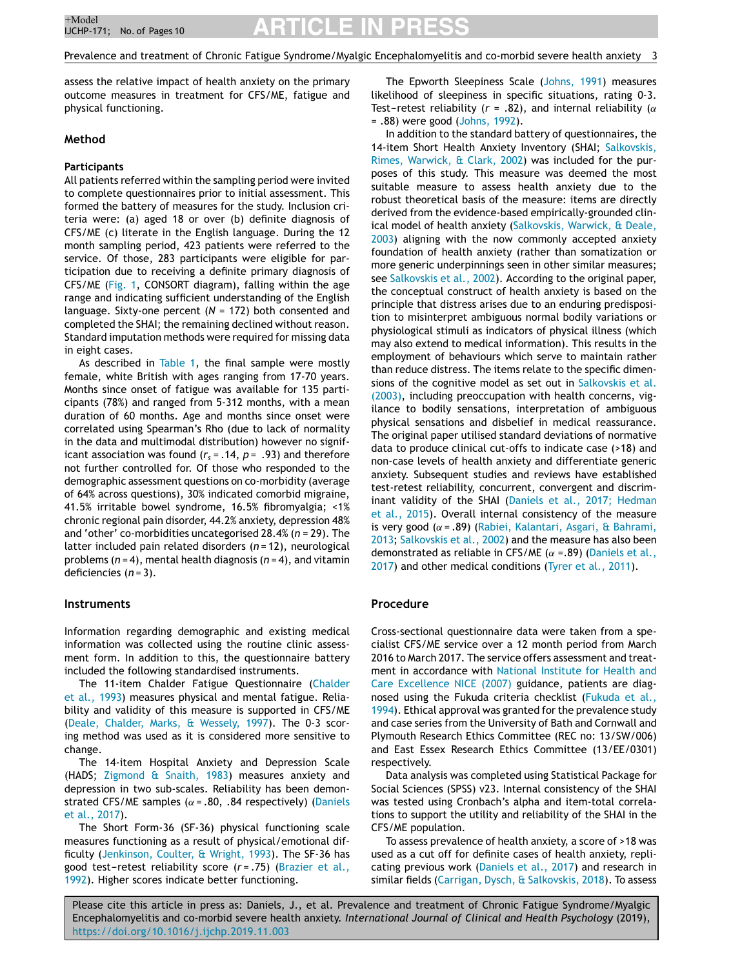Prevalence and treatment of Chronic Fatigue Syndrome/Myalgic Encephalomyelitis and co-morbid severe health anxiety 3

assess the relative impact of health anxiety on the primary outcome measures in treatment for CFS/ME, fatigue and physical functioning.

## **Method**

## **Participants**

All patients referred within the sampling period were invited to complete questionnaires prior to initial assessment. This formed the battery of measures for the study. Inclusion criteria were: (a) aged 18 or over (b) definite diagnosis of CFS/ME (c) literate in the English language. During the 12 month sampling period, 423 patients were referred to the service. Of those, 283 participants were eligible for participation due to receiving a definite primary diagnosis of CFS/ME ([Fig.](#page-3-0) 1, CONSORT diagram), falling within the age range and indicating sufficient understanding of the English language. Sixty-one percent (*N* = 172) both consented and completed the SHAI; the remaining declined without reason. Standard imputation methods were required for missing data in eight cases.

As described in [Table](#page-3-0) 1, the final sample were mostly female, white British with ages ranging from 17-70 years. Months since onset of fatigue was available for 135 participants (78%) and ranged from 5-312 months, with a mean duration of 60 months. Age and months since onset were correlated using Spearman's Rho (due to lack of normality in the data and multimodal distribution) however no significant association was found  $(r_s = .14, p = .93)$  and therefore not further controlled for. Of those who responded to the demographic assessment questions on co-morbidity (average of 64% across questions), 30% indicated comorbid migraine, 41.5% irritable bowel syndrome, 16.5% fibromyalgia; <1% chronic regional pain disorder, 44.2% anxiety, depression 48% and 'other' co-morbidities uncategorised 28.4% (*n* = 29). The latter included pain related disorders (*n* = 12), neurological problems (*n* = 4), mental health diagnosis (*n* = 4), and vitamin deficiencies (*n* = 3).

## **Instruments**

Information regarding demographic and existing medical information was collected using the routine clinic assessment form. In addition to this, the questionnaire battery included the following standardised instruments.

The 11-item Chalder Fatigue Questionnaire ([Chalder](#page-8-0) et [al.,](#page-8-0) [1993\)](#page-8-0) measures physical and mental fatigue. Reliability and validity of this measure is supported in CFS/ME ([Deale,](#page-8-0) [Chalder,](#page-8-0) [Marks,](#page-8-0) [&](#page-8-0) [Wessely,](#page-8-0) [1997\).](#page-8-0) The 0-3 scoring method was used as it is considered more sensitive to change.

The 14-item Hospital Anxiety and Depression Scale (HADS; [Zigmond](#page-9-0) [&](#page-9-0) [Snaith,](#page-9-0) [1983\)](#page-9-0) measures anxiety and depression in two sub-scales. Reliability has been demonstrated CFS/ME samples ( $\alpha$  = .80, .84 respectively) ([Daniels](#page-8-0) et [al.,](#page-8-0) [2017\).](#page-8-0)

The Short Form-36 (SF-36) physical functioning scale measures functioning as a result of physical/emotional difficulty [\(Jenkinson,](#page-9-0) [Coulter,](#page-9-0) [&](#page-9-0) [Wright,](#page-9-0) [1993\).](#page-9-0) The SF-36 has good test-retest reliability score ( $r = .75$ ) [\(Brazier](#page-8-0) et [al.,](#page-8-0) [1992\).](#page-8-0) Higher scores indicate better functioning.

The Epworth Sleepiness Scale ([Johns,](#page-9-0) [1991\)](#page-9-0) measures likelihood of sleepiness in specific situations, rating 0-3. Test-retest reliability ( $r = .82$ ), and internal reliability ( $\alpha$  $= .88$ ) were good [\(Johns,](#page-9-0) [1992\).](#page-9-0)

In addition to the standard battery of questionnaires, the 14-item Short Health Anxiety Inventory (SHAI; [Salkovskis,](#page-9-0) [Rimes,](#page-9-0) [Warwick,](#page-9-0) [&](#page-9-0) [Clark,](#page-9-0) [2002\)](#page-9-0) was included for the purposes of this study. This measure was deemed the most suitable measure to assess health anxiety due to the robust theoretical basis of the measure: items are directly derived from the evidence-based empirically-grounded clinical model of health anxiety ([Salkovskis,](#page-9-0) [Warwick,](#page-9-0) [&](#page-9-0) [Deale,](#page-9-0) [2003\)](#page-9-0) aligning with the now commonly accepted anxiety foundation of health anxiety (rather than somatization or more generic underpinnings seen in other similar measures; see [Salkovskis](#page-9-0) et [al.,](#page-9-0) [2002\).](#page-9-0) According to the original paper, the conceptual construct of health anxiety is based on the principle that distress arises due to an enduring predisposition to misinterpret ambiguous normal bodily variations or physiological stimuli as indicators of physical illness (which may also extend to medical information). This results in the employment of behaviours which serve to maintain rather than reduce distress. The items relate to the specific dimensions of the cognitive model as set out in [Salkovskis](#page-9-0) et [al.](#page-9-0) [\(2003\),](#page-9-0) including preoccupation with health concerns, vigilance to bodily sensations, interpretation of ambiguous physical sensations and disbelief in medical reassurance. The original paper utilised standard deviations of normative data to produce clinical cut-offs to indicate case (>18) and non-case levels of health anxiety and differentiate generic anxiety. Subsequent studies and reviews have established test-retest reliability, concurrent, convergent and discriminant validity of the SHAI ([Daniels](#page-8-0) et [al.,](#page-8-0) [2017;](#page-8-0) [Hedman](#page-8-0) et [al.,](#page-8-0) [2015\).](#page-8-0) Overall internal consistency of the measure is very good ( $\alpha$  = .89) [\(Rabiei,](#page-9-0) [Kalantari,](#page-9-0) [Asgari,](#page-9-0) [&](#page-9-0) [Bahrami,](#page-9-0) [2013;](#page-9-0) [Salkovskis](#page-9-0) et [al.,](#page-9-0) [2002\)](#page-9-0) and the measure has also been demonstrated as reliable in CFS/ME ( $\alpha$  =.89) [\(Daniels](#page-8-0) et [al.,](#page-8-0) [2017\)](#page-8-0) and other medical conditions [\(Tyrer](#page-9-0) et [al.,](#page-9-0) [2011\).](#page-9-0)

## **Procedure**

Cross-sectional questionnaire data were taken from a specialist CFS/ME service over a 12 month period from March 2016 to March 2017. The service offers assessment and treatment in accordance with [National](#page-9-0) [Institute](#page-9-0) [for](#page-9-0) [Health](#page-9-0) [and](#page-9-0) [Care](#page-9-0) [Excellence](#page-9-0) [NICE](#page-9-0) [\(2007\)](#page-9-0) guidance, patients are diagnosed using the Fukuda criteria checklist [\(Fukuda](#page-8-0) et [al.,](#page-8-0) [1994\).](#page-8-0) Ethical approval was granted for the prevalence study and case series from the University of Bath and Cornwall and Plymouth Research Ethics Committee (REC no: 13/SW/006) and East Essex Research Ethics Committee (13/EE/0301) respectively.

Data analysis was completed using Statistical Package for Social Sciences (SPSS) v23. Internal consistency of the SHAI was tested using Cronbach's alpha and item-total correlations to support the utility and reliability of the SHAI in the CFS/ME population.

To assess prevalence of health anxiety, a score of >18 was used as a cut off for definite cases of health anxiety, replicating previous work [\(Daniels](#page-8-0) et [al.,](#page-8-0) [2017\)](#page-8-0) and research in similar fields [\(Carrigan,](#page-8-0) [Dysch,](#page-8-0) [&](#page-8-0) [Salkovskis,](#page-8-0) [2018\).](#page-8-0) To assess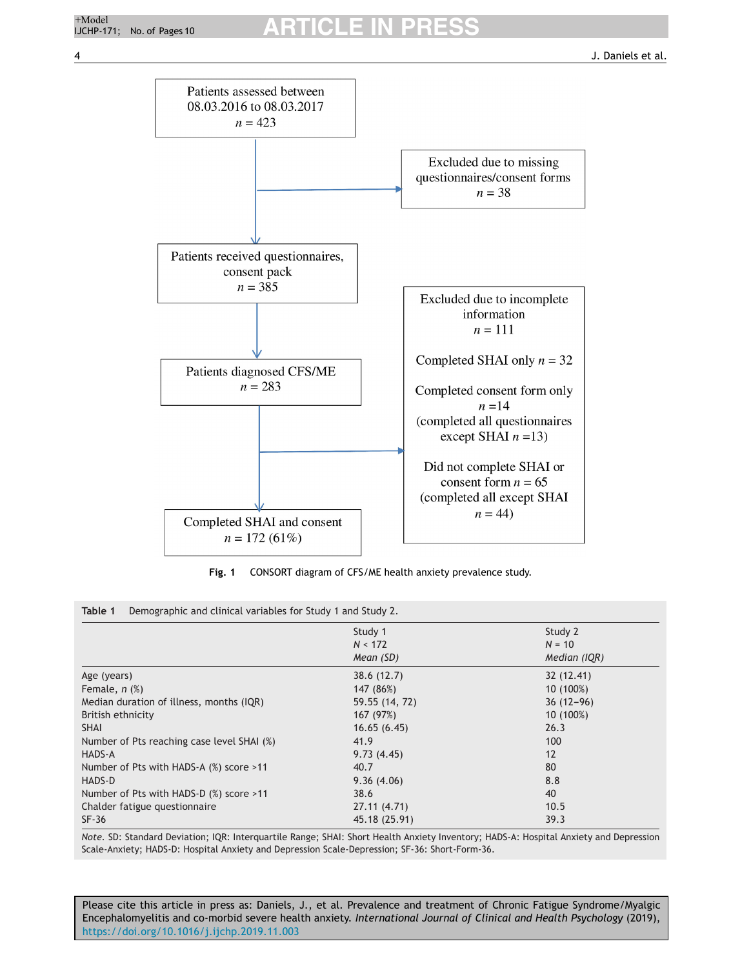

**Fig. 1** CONSORT diagram of CFS/ME health anxiety prevalence study.

| Demographic and clinical variables for Study 1 and Study 2.<br>Table 1 |                                   |                                     |
|------------------------------------------------------------------------|-----------------------------------|-------------------------------------|
|                                                                        | Study 1<br>N < 172<br>Mean $(SD)$ | Study 2<br>$N = 10$<br>Median (IQR) |
| Age (years)                                                            | 38.6 (12.7)                       | 32 (12.41)                          |
| Female, $n$ $%$ )                                                      | 147 (86%)                         | 10 (100%)                           |
| Median duration of illness, months (IQR)                               | 59.55 (14, 72)                    | $36(12-96)$                         |
| British ethnicity                                                      | 167 (97%)                         | 10 (100%)                           |
| <b>SHAI</b>                                                            | 16.65(6.45)                       | 26.3                                |
| Number of Pts reaching case level SHAI (%)                             | 41.9                              | 100                                 |
| HADS-A                                                                 | 9.73(4.45)                        | 12                                  |
| Number of Pts with HADS-A (%) score >11                                | 40.7                              | 80                                  |
| HADS-D                                                                 | 9.36(4.06)                        | 8.8                                 |
| Number of Pts with HADS-D (%) score >11                                | 38.6                              | 40                                  |
| Chalder fatigue questionnaire                                          | 27.11 (4.71)                      | 10.5                                |
| $SF-36$                                                                | 45.18 (25.91)                     | 39.3                                |

*Note.* SD: Standard Deviation; IQR: Interquartile Range; SHAI: Short Health Anxiety Inventory; HADS-A: Hospital Anxiety and Depression Scale-Anxiety; HADS-D: Hospital Anxiety and Depression Scale-Depression; SF-36: Short-Form-36.

<span id="page-3-0"></span>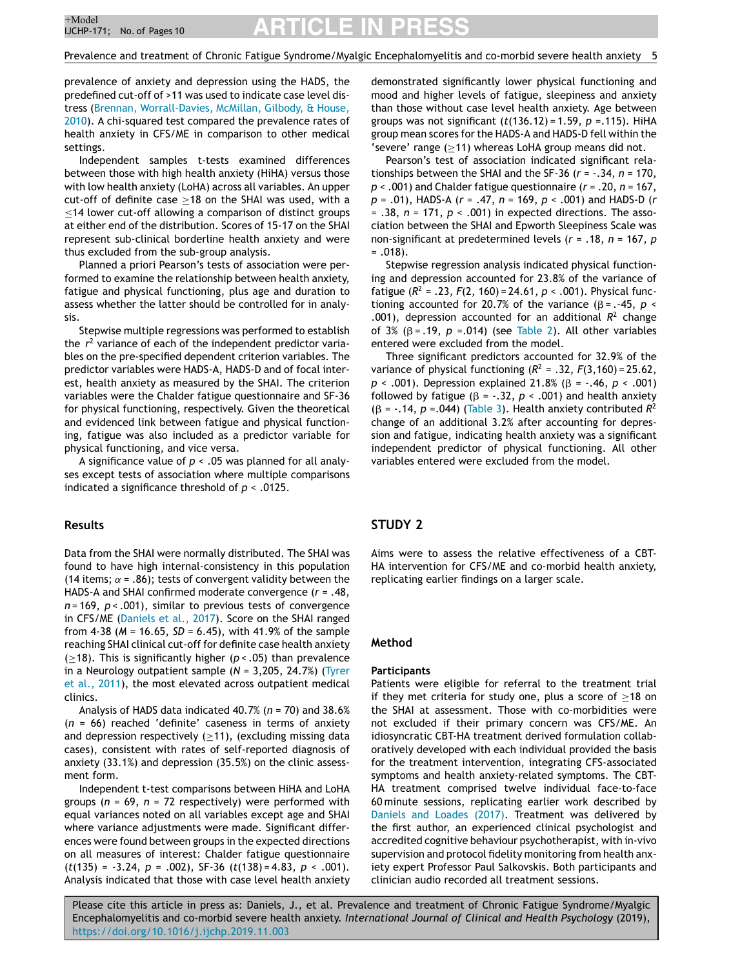## Prevalence and treatment of Chronic Fatigue Syndrome/Myalgic Encephalomyelitis and co-morbid severe health anxiety 5

prevalence of anxiety and depression using the HADS, the predefined cut-off of >11 was used to indicate case level distress [\(Brennan,](#page-8-0) [Worrall-Davies,](#page-8-0) [McMillan,](#page-8-0) [Gilbody,](#page-8-0) [&](#page-8-0) [House,](#page-8-0) [2010\).](#page-8-0) A chi-squared test compared the prevalence rates of health anxiety in CFS/ME in comparison to other medical settings.

Independent samples t-tests examined differences between those with high health anxiety (HiHA) versus those with low health anxiety (LoHA) across all variables. An upper cut-off of definite case ≥18 on the SHAI was used, with a ≤14 lower cut-off allowing a comparison of distinct groups at either end of the distribution. Scores of 15-17 on the SHAI represent sub-clinical borderline health anxiety and were thus excluded from the sub-group analysis.

Planned a priori Pearson's tests of association were performed to examine the relationship between health anxiety, fatigue and physical functioning, plus age and duration to assess whether the latter should be controlled for in analysis.

Stepwise multiple regressions was performed to establish the *r*<sup>2</sup> variance of each of the independent predictor variables on the pre-specified dependent criterion variables. The predictor variables were HADS-A, HADS-D and of focal interest, health anxiety as measured by the SHAI. The criterion variables were the Chalder fatigue questionnaire and SF-36 for physical functioning, respectively. Given the theoretical and evidenced link between fatigue and physical functioning, fatigue was also included as a predictor variable for physical functioning, and vice versa.

A significance value of *p* < .05 was planned for all analyses except tests of association where multiple comparisons indicated a significance threshold of *p* < .0125.

### **Results**

Data from the SHAI were normally distributed. The SHAI was found to have high internal-consistency in this population (14 items;  $\alpha$  = .86); tests of convergent validity between the HADS-A and SHAI confirmed moderate convergence (*r* = .48, *n* = 169, *p* < .001), similar to previous tests of convergence in CFS/ME ([Daniels](#page-8-0) et [al.,](#page-8-0) [2017\).](#page-8-0) Score on the SHAI ranged from 4-38 (*M* = 16.65, *SD* = 6.45), with 41.9% of the sample reaching SHAI clinical cut-off for definite case health anxiety (≥18). This is significantly higher (*p* < .05) than prevalence in a Neurology outpatient sample (*N* = 3,205, 24.7%) [\(Tyrer](#page-9-0) et [al.,](#page-9-0) [2011\),](#page-9-0) the most elevated across outpatient medical clinics.

Analysis of HADS data indicated 40.7% (*n* = 70) and 38.6% (*n* = 66) reached 'definite' caseness in terms of anxiety and depression respectively  $(≥11)$ , (excluding missing data cases), consistent with rates of self-reported diagnosis of anxiety (33.1%) and depression (35.5%) on the clinic assessment form.

Independent t-test comparisons between HiHA and LoHA groups (*n* = 69, *n* = 72 respectively) were performed with equal variances noted on all variables except age and SHAI where variance adjustments were made. Significant differences were found between groups in the expected directions on all measures of interest: Chalder fatigue questionnaire (*t*(135) = -3.24, *p* = .002), SF-36 (*t*(138) = 4.83, *p* < .001). Analysis indicated that those with case level health anxiety demonstrated significantly lower physical functioning and mood and higher levels of fatigue, sleepiness and anxiety than those without case level health anxiety. Age between groups was not significant (*t*(136.12) = 1.59, *p* =.115). HiHA group mean scores for the HADS-A and HADS-D fell within the 'severe' range (≥11) whereas LoHA group means did not.

Pearson's test of association indicated significant relationships between the SHAI and the SF-36 (*r* = -.34, *n* = 170, *p* < .001) and Chalder fatigue questionnaire (*r* = .20, *n =* 167, *p* = .01), HADS-A (*r* = .47, *n* = 169, *p* < .001) and HADS-D (*r* = .38, *n* = 171, *p* < .001) in expected directions. The association between the SHAI and Epworth Sleepiness Scale was non-significant at predetermined levels (*r* = .18, *n* = 167, *p*  $= .018$ ).

Stepwise regression analysis indicated physical functioning and depression accounted for 23.8% of the variance of fatigue (*R*<sup>2</sup> = .23, *F*(2, 160) = 24.61, *p* < .001). Physical functioning accounted for 20.7% of the variance ( $\beta$ =.-45,  $p \le$ .001), depression accounted for an additional *R*<sup>2</sup> change of 3% ( $\beta$ =.19,  $p$  =.014) (see [Table](#page-5-0) 2). All other variables entered were excluded from the model.

Three significant predictors accounted for 32.9% of the variance of physical functioning  $(R^2 = .32, F(3,160) = 25.62,$ *p* < .001). Depression explained 21.8% (β = -.46, *p* < .001) followed by fatigue ( $\beta$  = -.32,  $p$  < .001) and health anxiety ( $\beta$  = -.14, *p* =.044) ([Table](#page-5-0) 3). Health anxiety contributed  $R^2$ change of an additional 3.2% after accounting for depression and fatigue, indicating health anxiety was a significant independent predictor of physical functioning. All other variables entered were excluded from the model.

## **STUDY 2**

Aims were to assess the relative effectiveness of a CBT-HA intervention for CFS/ME and co-morbid health anxiety, replicating earlier findings on a larger scale.

#### **Method**

#### **Participants**

Patients were eligible for referral to the treatment trial if they met criteria for study one, plus a score of  $>18$  on the SHAI at assessment. Those with co-morbidities were not excluded if their primary concern was CFS/ME. An idiosyncratic CBT-HA treatment derived formulation collaboratively developed with each individual provided the basis for the treatment intervention, integrating CFS-associated symptoms and health anxiety-related symptoms. The CBT-HA treatment comprised twelve individual face-to-face 60 minute sessions, replicating earlier work described by [Daniels](#page-8-0) [and](#page-8-0) [Loades](#page-8-0) [\(2017\).](#page-8-0) Treatment was delivered by the first author, an experienced clinical psychologist and accredited cognitive behaviour psychotherapist, with in-vivo supervision and protocol fidelity monitoring from health anxiety expert Professor Paul Salkovskis. Both participants and clinician audio recorded all treatment sessions.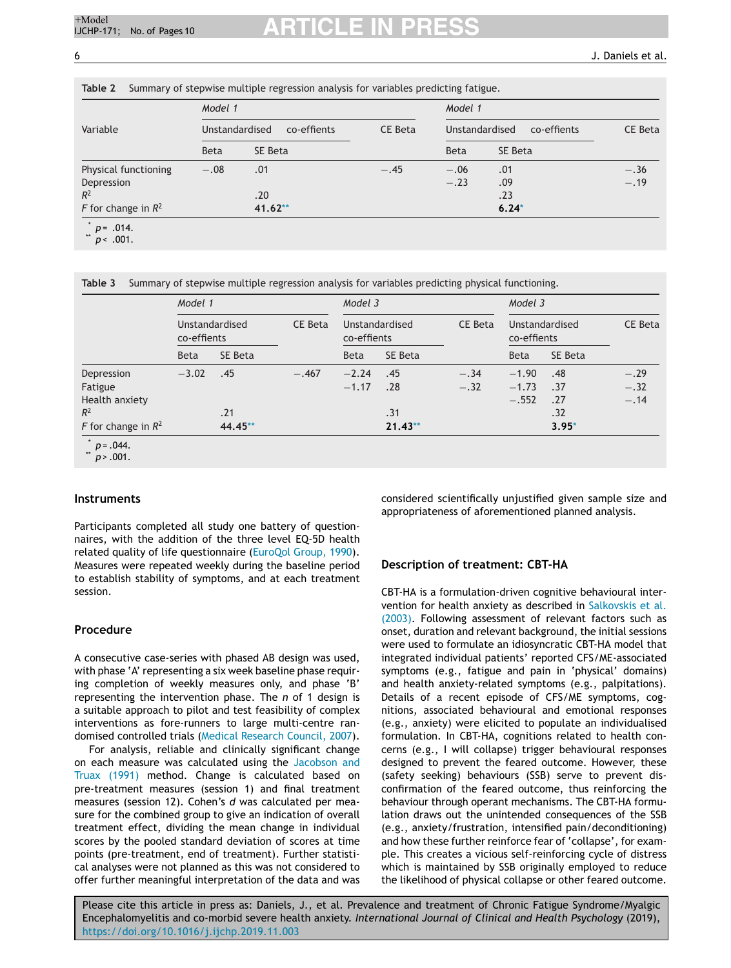<span id="page-5-0"></span>6 J. Daniels et al.

**Table 2** Summary of stepwise multiple regression analysis for variables predicting fatigue.

| Variable              | Model 1                       |           |         | Model 1                       |         |         |  |
|-----------------------|-------------------------------|-----------|---------|-------------------------------|---------|---------|--|
|                       | Unstandardised<br>co-effients |           | CE Beta | Unstandardised<br>co-effients |         | CE Beta |  |
|                       | <b>Beta</b>                   | SE Beta   |         | <b>Beta</b>                   | SE Beta |         |  |
| Physical functioning  | $-.08$                        | .01       | $-.45$  | $-.06$                        | .01     | $-.36$  |  |
| Depression            |                               |           |         | $-.23$                        | .09     | $-.19$  |  |
| $R^2$                 |                               | .20       |         |                               | .23     |         |  |
| F for change in $R^2$ |                               | $41.62**$ |         |                               | $6.24*$ |         |  |

 $p = .014$ .  $p < .001$ .

**Table 3** Summary of stepwise multiple regression analysis for variables predicting physical functioning.

|                       | Model 1                       |           |         | Model 3                       |           |         | Model 3                       |         |         |
|-----------------------|-------------------------------|-----------|---------|-------------------------------|-----------|---------|-------------------------------|---------|---------|
|                       | Unstandardised<br>co-effients |           | CE Beta | Unstandardised<br>co-effients |           | CE Beta | Unstandardised<br>co-effients |         | CE Beta |
|                       | <b>Beta</b>                   | SE Beta   |         | <b>Beta</b>                   | SE Beta   |         | <b>Beta</b>                   | SE Beta |         |
| Depression            | $-3.02$                       | .45       | $-.467$ | $-2.24$                       | .45       | $-.34$  | $-1.90$                       | .48     | $-.29$  |
| Fatigue               |                               |           |         | $-1.17$                       | .28       | $-.32$  | $-1.73$                       | .37     | $-.32$  |
| Health anxiety        |                               |           |         |                               |           |         | $-.552$                       | .27     | $-.14$  |
| $R^2$                 |                               | .21       |         |                               | .31       |         |                               | .32     |         |
| F for change in $R^2$ |                               | $44.45**$ |         |                               | $21.43**$ |         |                               | $3.95*$ |         |

 $\frac{1}{p}$  > .001.

### **Instruments**

Participants completed all study one battery of questionnaires, with the addition of the three level EQ-5D health related quality of life questionnaire [\(EuroQol](#page-8-0) [Group,](#page-8-0) [1990\).](#page-8-0) Measures were repeated weekly during the baseline period to establish stability of symptoms, and at each treatment session.

### **Procedure**

A consecutive case-series with phased AB design was used, with phase 'A' representing a six week baseline phase requiring completion of weekly measures only, and phase 'B' representing the intervention phase. The *n* of 1 design is a suitable approach to pilot and test feasibility of complex interventions as fore-runners to large multi-centre randomised controlled trials [\(Medical](#page-9-0) [Research](#page-9-0) [Council,](#page-9-0) [2007\).](#page-9-0)

For analysis, reliable and clinically significant change on each measure was calculated using the [Jacobson](#page-9-0) [and](#page-9-0) [Truax](#page-9-0) [\(1991\)](#page-9-0) method. Change is calculated based on pre-treatment measures (session 1) and final treatment measures (session 12). Cohen's *d* was calculated per measure for the combined group to give an indication of overall treatment effect, dividing the mean change in individual scores by the pooled standard deviation of scores at time points (pre-treatment, end of treatment). Further statistical analyses were not planned as this was not considered to offer further meaningful interpretation of the data and was considered scientifically unjustified given sample size and appropriateness of aforementioned planned analysis.

## **Description of treatment: CBT-HA**

CBT-HA is a formulation-driven cognitive behavioural intervention for health anxiety as described in [Salkovskis](#page-9-0) et [al.](#page-9-0) [\(2003\).](#page-9-0) Following assessment of relevant factors such as onset, duration and relevant background, the initial sessions were used to formulate an idiosyncratic CBT-HA model that integrated individual patients' reported CFS/ME-associated symptoms (e.g., fatigue and pain in 'physical' domains) and health anxiety-related symptoms (e.g., palpitations). Details of a recent episode of CFS/ME symptoms, cognitions, associated behavioural and emotional responses (e.g., anxiety) were elicited to populate an individualised formulation. In CBT-HA, cognitions related to health concerns (e.g., I will collapse) trigger behavioural responses designed to prevent the feared outcome. However, these (safety seeking) behaviours (SSB) serve to prevent disconfirmation of the feared outcome, thus reinforcing the behaviour through operant mechanisms. The CBT-HA formulation draws out the unintended consequences of the SSB (e.g., anxiety/frustration, intensified pain/deconditioning) and how these further reinforce fear of 'collapse', for example. This creates a vicious self-reinforcing cycle of distress which is maintained by SSB originally employed to reduce the likelihood of physical collapse or other feared outcome.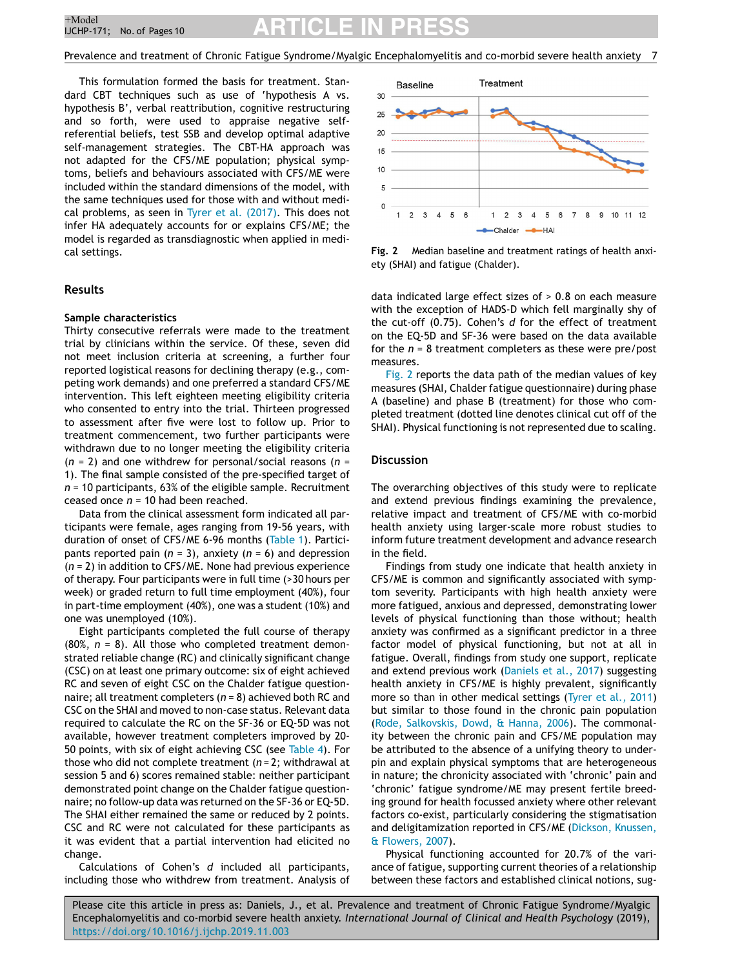This formulation formed the basis for treatment. Standard CBT techniques such as use of 'hypothesis A vs. hypothesis B', verbal reattribution, cognitive restructuring and so forth, were used to appraise negative selfreferential beliefs, test SSB and develop optimal adaptive self-management strategies. The CBT-HA approach was not adapted for the CFS/ME population; physical symptoms, beliefs and behaviours associated with CFS/ME were included within the standard dimensions of the model, with the same techniques used for those with and without medical problems, as seen in [Tyrer](#page-9-0) et [al.](#page-9-0) [\(2017\).](#page-9-0) This does not infer HA adequately accounts for or explains CFS/ME; the model is regarded as transdiagnostic when applied in medical settings.

#### **Results**

#### **Sample characteristics**

Thirty consecutive referrals were made to the treatment trial by clinicians within the service. Of these, seven did not meet inclusion criteria at screening, a further four reported logistical reasons for declining therapy (e.g., competing work demands) and one preferred a standard CFS/ME intervention. This left eighteen meeting eligibility criteria who consented to entry into the trial. Thirteen progressed to assessment after five were lost to follow up. Prior to treatment commencement, two further participants were withdrawn due to no longer meeting the eligibility criteria (*n* = 2) and one withdrew for personal/social reasons (*n* = 1). The final sample consisted of the pre-specified target of *n* = 10 participants, 63% of the eligible sample. Recruitment ceased once *n* = 10 had been reached.

Data from the clinical assessment form indicated all participants were female, ages ranging from 19-56 years, with duration of onset of CFS/ME 6-96 months [\(Table](#page-3-0) 1). Participants reported pain (*n* = 3), anxiety (*n* = 6) and depression (*n* = 2) in addition to CFS/ME. None had previous experience of therapy. Four participants were in full time (>30 hours per week) or graded return to full time employment (40%), four in part-time employment (40%), one was a student (10%) and one was unemployed (10%).

Eight participants completed the full course of therapy (80%, *n* = 8). All those who completed treatment demonstrated reliable change (RC) and clinically significant change (CSC) on at least one primary outcome: six of eight achieved RC and seven of eight CSC on the Chalder fatigue questionnaire; all treatment completers (*n =* 8) achieved both RC and CSC on the SHAI and moved to non-case status. Relevant data required to calculate the RC on the SF-36 or EQ-5D was not available, however treatment completers improved by 20- 50 points, with six of eight achieving CSC (see [Table](#page-7-0) 4). For those who did not complete treatment (*n* = 2; withdrawal at session 5 and 6) scores remained stable: neither participant demonstrated point change on the Chalder fatigue questionnaire; no follow-up data was returned on the SF-36 or EQ-5D. The SHAI either remained the same or reduced by 2 points. CSC and RC were not calculated for these participants as it was evident that a partial intervention had elicited no change.

Calculations of Cohen's *d* included all participants, including those who withdrew from treatment. Analysis of



**Fig. 2** Median baseline and treatment ratings of health anxiety (SHAI) and fatigue (Chalder).

data indicated large effect sizes of > 0.8 on each measure with the exception of HADS-D which fell marginally shy of the cut-off (0.75). Cohen's *d* for the effect of treatment on the EQ-5D and SF-36 were based on the data available for the *n* = 8 treatment completers as these were pre/post measures.

Fig. 2 reports the data path of the median values of key measures (SHAI, Chalder fatigue questionnaire) during phase A (baseline) and phase B (treatment) for those who completed treatment (dotted line denotes clinical cut off of the SHAI). Physical functioning is not represented due to scaling.

#### **Discussion**

The overarching objectives of this study were to replicate and extend previous findings examining the prevalence, relative impact and treatment of CFS/ME with co-morbid health anxiety using larger-scale more robust studies to inform future treatment development and advance research in the field.

Findings from study one indicate that health anxiety in CFS/ME is common and significantly associated with symptom severity. Participants with high health anxiety were more fatigued, anxious and depressed, demonstrating lower levels of physical functioning than those without; health anxiety was confirmed as a significant predictor in a three factor model of physical functioning, but not at all in fatigue. Overall, findings from study one support, replicate and extend previous work [\(Daniels](#page-8-0) et [al.,](#page-8-0) [2017\)](#page-8-0) suggesting health anxiety in CFS/ME is highly prevalent, significantly more so than in other medical settings [\(Tyrer](#page-9-0) et [al.,](#page-9-0) [2011\)](#page-9-0) but similar to those found in the chronic pain population ([Rode,](#page-9-0) [Salkovskis,](#page-9-0) [Dowd,](#page-9-0) [&](#page-9-0) [Hanna,](#page-9-0) [2006\).](#page-9-0) The commonality between the chronic pain and CFS/ME population may be attributed to the absence of a unifying theory to underpin and explain physical symptoms that are heterogeneous in nature; the chronicity associated with 'chronic' pain and 'chronic' fatigue syndrome/ME may present fertile breeding ground for health focussed anxiety where other relevant factors co-exist, particularly considering the stigmatisation and deligitamization reported in CFS/ME ([Dickson,](#page-8-0) [Knussen,](#page-8-0) [&](#page-8-0) [Flowers,](#page-8-0) [2007\).](#page-8-0)

Physical functioning accounted for 20.7% of the variance of fatigue, supporting current theories of a relationship between these factors and established clinical notions, sug-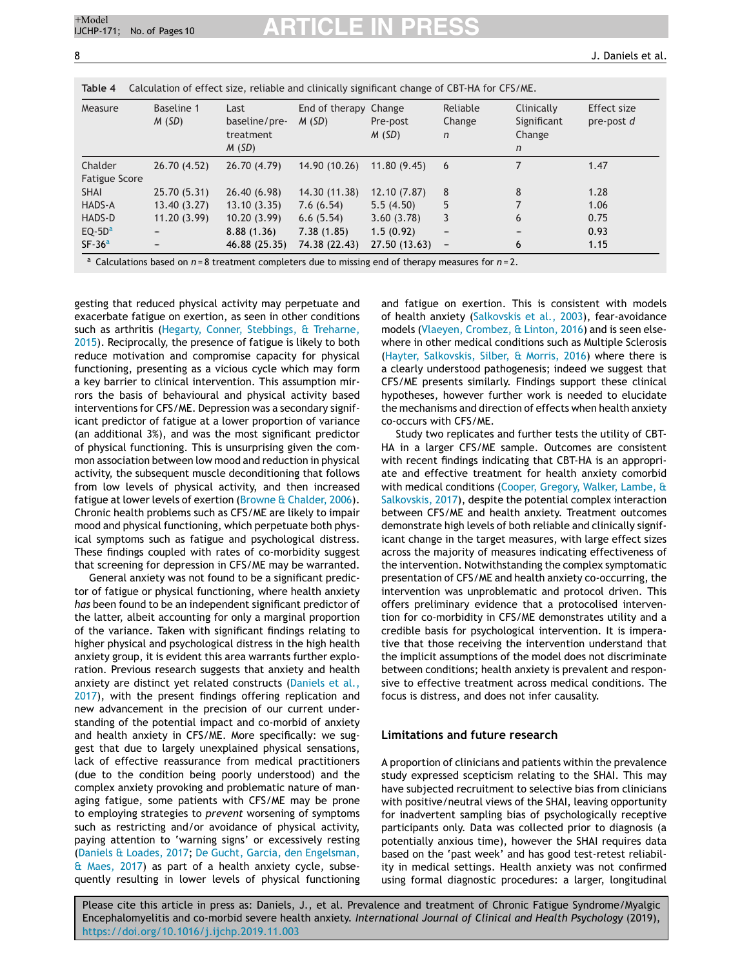<span id="page-7-0"></span>8 J. Daniels et al.

| Measure                         | Baseline 1<br>M(SD) | Last<br>baseline/pre-<br>treatment<br>M(SD) | End of therapy Change<br>M(SD) | Pre-post<br>M(SD) | Reliable<br>Change<br>n  | Clinically<br>Significant<br>Change<br>n | Effect size<br>pre-post d |
|---------------------------------|---------------------|---------------------------------------------|--------------------------------|-------------------|--------------------------|------------------------------------------|---------------------------|
| Chalder<br><b>Fatigue Score</b> | 26.70 (4.52)        | 26.70 (4.79)                                | 14.90 (10.26)                  | 11.80(9.45)       | 6                        |                                          | 1.47                      |
| <b>SHAI</b>                     | 25.70 (5.31)        | 26.40 (6.98)                                | 14.30 (11.38)                  | 12.10(7.87)       | 8                        | 8                                        | 1.28                      |
| <b>HADS-A</b>                   | 13.40(3.27)         | 13.10(3.35)                                 | 7.6(6.54)                      | 5.5(4.50)         | 5                        |                                          | 1.06                      |
| HADS-D                          | 11.20(3.99)         | 10.20(3.99)                                 | 6.6(5.54)                      | 3.60(3.78)        | 3                        | 6                                        | 0.75                      |
| $EQ-5Da$                        |                     | 8.88(1.36)                                  | 7.38(1.85)                     | 1.5(0.92)         |                          |                                          | 0.93                      |
| $SF-36a$                        |                     | 46.88 (25.35)                               | 74.38 (22.43)                  | 27.50 (13.63)     | $\overline{\phantom{a}}$ | 6                                        | 1.15                      |

**Table 4** Calculation of effect size, reliable and clinically significant change of CBT-HA for CFS/ME.

gesting that reduced physical activity may perpetuate and exacerbate fatigue on exertion, as seen in other conditions such as arthritis [\(Hegarty,](#page-9-0) [Conner,](#page-9-0) [Stebbings,](#page-9-0) [&](#page-9-0) [Treharne,](#page-9-0) [2015\).](#page-9-0) Reciprocally, the presence of fatigue is likely to both reduce motivation and compromise capacity for physical functioning, presenting as a vicious cycle which may form a key barrier to clinical intervention. This assumption mirrors the basis of behavioural and physical activity based interventions for CFS/ME. Depression was a secondary significant predictor of fatigue at a lower proportion of variance (an additional 3%), and was the most significant predictor of physical functioning. This is unsurprising given the common association between low mood and reduction in physical activity, the subsequent muscle deconditioning that follows from low levels of physical activity, and then increased fatigue at lower levels of exertion ([Browne](#page-8-0) [&](#page-8-0) [Chalder,](#page-8-0) [2006\).](#page-8-0) Chronic health problems such as CFS/ME are likely to impair mood and physical functioning, which perpetuate both physical symptoms such as fatigue and psychological distress. These findings coupled with rates of co-morbidity suggest that screening for depression in CFS/ME may be warranted.

General anxiety was not found to be a significant predictor of fatigue or physical functioning, where health anxiety *has* been found to be an independent significant predictor of the latter, albeit accounting for only a marginal proportion of the variance. Taken with significant findings relating to higher physical and psychological distress in the high health anxiety group, it is evident this area warrants further exploration. Previous research suggests that anxiety and health anxiety are distinct yet related constructs ([Daniels](#page-8-0) et [al.,](#page-8-0) [2017\),](#page-8-0) with the present findings offering replication and new advancement in the precision of our current understanding of the potential impact and co-morbid of anxiety and health anxiety in CFS/ME. More specifically: we suggest that due to largely unexplained physical sensations, lack of effective reassurance from medical practitioners (due to the condition being poorly understood) and the complex anxiety provoking and problematic nature of managing fatigue, some patients with CFS/ME may be prone to employing strategies to *prevent* worsening of symptoms such as restricting and/or avoidance of physical activity, paying attention to 'warning signs' or excessively resting [\(Daniels](#page-8-0) [&](#page-8-0) [Loades,](#page-8-0) [2017;](#page-8-0) [De](#page-8-0) [Gucht,](#page-8-0) [Garcia,](#page-8-0) [den](#page-8-0) [Engelsman,](#page-8-0) [&](#page-8-0) [Maes,](#page-8-0) [2017\)](#page-8-0) as part of a health anxiety cycle, subsequently resulting in lower levels of physical functioning

and fatigue on exertion. This is consistent with models of health anxiety [\(Salkovskis](#page-9-0) et [al.,](#page-9-0) [2003\),](#page-9-0) fear-avoidance models ([Vlaeyen,](#page-9-0) [Crombez,](#page-9-0) [&](#page-9-0) [Linton,](#page-9-0) [2016\)](#page-9-0) and is seen elsewhere in other medical conditions such as Multiple Sclerosis [\(Hayter,](#page-8-0) [Salkovskis,](#page-8-0) [Silber,](#page-8-0) [&](#page-8-0) [Morris,](#page-8-0) [2016\)](#page-8-0) where there is a clearly understood pathogenesis; indeed we suggest that CFS/ME presents similarly. Findings support these clinical hypotheses, however further work is needed to elucidate the mechanisms and direction of effects when health anxiety co-occurs with CFS/ME.

Study two replicates and further tests the utility of CBT-HA in a larger CFS/ME sample. Outcomes are consistent with recent findings indicating that CBT-HA is an appropriate and effective treatment for health anxiety comorbid with medical conditions [\(Cooper,](#page-8-0) [Gregory,](#page-8-0) [Walker,](#page-8-0) [Lambe,](#page-8-0) [&](#page-8-0) [Salkovskis,](#page-8-0) [2017\),](#page-8-0) despite the potential complex interaction between CFS/ME and health anxiety. Treatment outcomes demonstrate high levels of both reliable and clinically significant change in the target measures, with large effect sizes across the majority of measures indicating effectiveness of the intervention. Notwithstanding the complex symptomatic presentation of CFS/ME and health anxiety co-occurring, the intervention was unproblematic and protocol driven. This offers preliminary evidence that a protocolised intervention for co-morbidity in CFS/ME demonstrates utility and a credible basis for psychological intervention. It is imperative that those receiving the intervention understand that the implicit assumptions of the model does not discriminate between conditions; health anxiety is prevalent and responsive to effective treatment across medical conditions. The focus is distress, and does not infer causality.

### **Limitations and future research**

A proportion of clinicians and patients within the prevalence study expressed scepticism relating to the SHAI. This may have subjected recruitment to selective bias from clinicians with positive/neutral views of the SHAI, leaving opportunity for inadvertent sampling bias of psychologically receptive participants only. Data was collected prior to diagnosis (a potentially anxious time), however the SHAI requires data based on the 'past week' and has good test-retest reliability in medical settings. Health anxiety was not confirmed using formal diagnostic procedures: a larger, longitudinal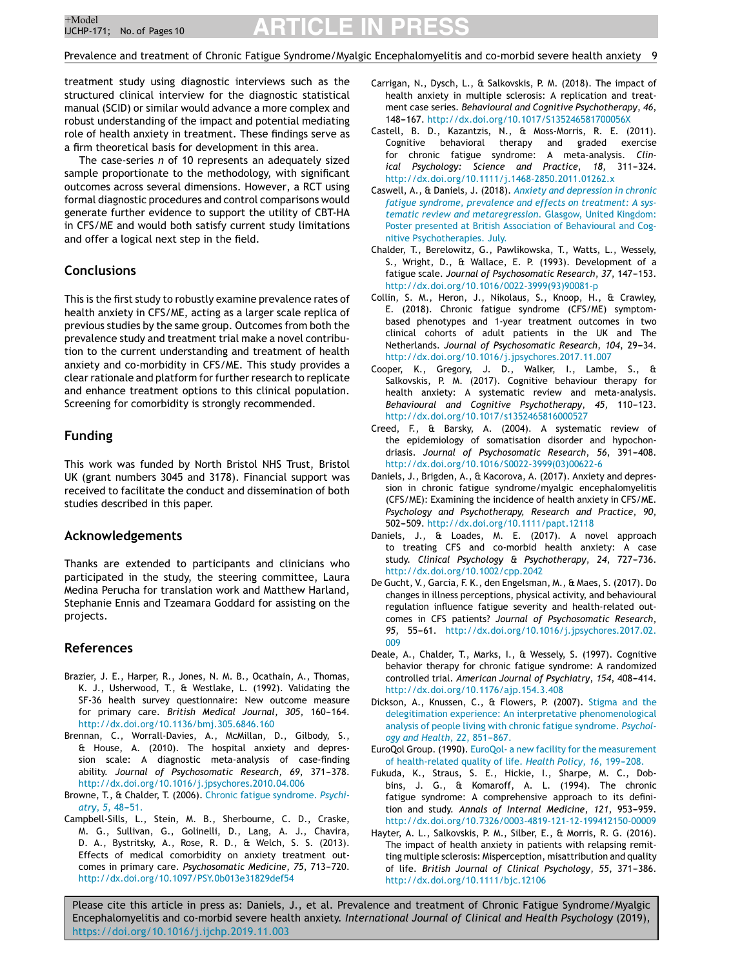#### <span id="page-8-0"></span>Prevalence and treatment of Chronic Fatigue Syndrome/Myalgic Encephalomyelitis and co-morbid severe health anxiety 9

treatment study using diagnostic interviews such as the structured clinical interview for the diagnostic statistical manual (SCID) or similar would advance a more complex and robust understanding of the impact and potential mediating role of health anxiety in treatment. These findings serve as a firm theoretical basis for development in this area.

The case-series *n* of 10 represents an adequately sized sample proportionate to the methodology, with significant outcomes across several dimensions. However, a RCT using formal diagnostic procedures and control comparisons would generate further evidence to support the utility of CBT-HA in CFS/ME and would both satisfy current study limitations and offer a logical next step in the field.

## **Conclusions**

This is the first study to robustly examine prevalence rates of health anxiety in CFS/ME, acting as a larger scale replica of previous studies by the same group. Outcomes from both the prevalence study and treatment trial make a novel contribution to the current understanding and treatment of health anxiety and co-morbidity in CFS/ME. This study provides a clear rationale and platform for further research to replicate and enhance treatment options to this clinical population. Screening for comorbidity is strongly recommended.

### **Funding**

This work was funded by North Bristol NHS Trust, Bristol UK (grant numbers 3045 and 3178). Financial support was received to facilitate the conduct and dissemination of both studies described in this paper.

### **Acknowledgements**

Thanks are extended to participants and clinicians who participated in the study, the steering committee, Laura Medina Perucha for translation work and Matthew Harland, Stephanie Ennis and Tzeamara Goddard for assisting on the projects.

### **References**

- Brazier, J. E., Harper, R., Jones, N. M. B., Ocathain, A., Thomas, K. J., Usherwood, T., & Westlake, L. (1992). Validating the SF-36 health survey questionnaire: New outcome measure for primary care. British Medical Journal, 305, 160-164. [http://dx.doi.org/10.1136/bmj.305.6846.160](dx.doi.org/10.1136/bmj.305.6846.160)
- Brennan, C., Worrall-Davies, A., McMillan, D., Gilbody, S., & House, A. (2010). The hospital anxiety and depression scale: A diagnostic meta-analysis of case-finding ability. Journal of Psychosomatic Research, 69, 371-378. [http://dx.doi.org/10.1016/j.jpsychores.2010.04.006](dx.doi.org/10.1016/j.jpsychores.2010.04.006)
- Browne, T., & Chalder, T. (2006). [Chronic](http://refhub.elsevier.com/S1697-2600(19)30247-9/sbref0015) [fatigue](http://refhub.elsevier.com/S1697-2600(19)30247-9/sbref0015) [syndrome.](http://refhub.elsevier.com/S1697-2600(19)30247-9/sbref0015) *[Psychi](http://refhub.elsevier.com/S1697-2600(19)30247-9/sbref0015)[atry](http://refhub.elsevier.com/S1697-2600(19)30247-9/sbref0015)*[,](http://refhub.elsevier.com/S1697-2600(19)30247-9/sbref0015) [5](http://refhub.elsevier.com/S1697-2600(19)30247-9/sbref0015), 48-51.
- Campbell-Sills, L., Stein, M. B., Sherbourne, C. D., Craske, M. G., Sullivan, G., Golinelli, D., Lang, A. J., Chavira, D. A., Bystritsky, A., Rose, R. D., & Welch, S. S. (2013). Effects of medical comorbidity on anxiety treatment outcomes in primary care. *Psychosomatic Medicine*, 75, 713-720. [http://dx.doi.org/10.1097/PSY.0b013e31829def54](dx.doi.org/10.1097/PSY.0b013e31829def54)
- Carrigan, N., Dysch, L., & Salkovskis, P. M. (2018). The impact of health anxiety in multiple sclerosis: A replication and treatment case series. *Behavioural and Cognitive Psychotherapy*, *46*, 148-167. [http://dx.doi.org/10.1017/S135246581700056X](dx.doi.org/10.1017/S135246581700056X)
- Castell, B. D., Kazantzis, N., & Moss-Morris, R. E. (2011). Cognitive behavioral therapy and graded exercise for chronic fatigue syndrome: A meta-analysis. *Clinical Psychology: Science and Practice*, 18, 311-324. [http://dx.doi.org/10.1111/j.1468-2850.2011.01262.x](dx.doi.org/10.1111/j.1468-2850.2011.01262.x)
- Caswell, A., & Daniels, J. (2018). *[Anxiety](http://refhub.elsevier.com/S1697-2600(19)30247-9/sbref0035) [and](http://refhub.elsevier.com/S1697-2600(19)30247-9/sbref0035) [depression](http://refhub.elsevier.com/S1697-2600(19)30247-9/sbref0035) [in](http://refhub.elsevier.com/S1697-2600(19)30247-9/sbref0035) [chronic](http://refhub.elsevier.com/S1697-2600(19)30247-9/sbref0035) [fatigue](http://refhub.elsevier.com/S1697-2600(19)30247-9/sbref0035) [syndrome,](http://refhub.elsevier.com/S1697-2600(19)30247-9/sbref0035) [prevalence](http://refhub.elsevier.com/S1697-2600(19)30247-9/sbref0035) [and](http://refhub.elsevier.com/S1697-2600(19)30247-9/sbref0035) [effects](http://refhub.elsevier.com/S1697-2600(19)30247-9/sbref0035) [on](http://refhub.elsevier.com/S1697-2600(19)30247-9/sbref0035) [treatment:](http://refhub.elsevier.com/S1697-2600(19)30247-9/sbref0035) [A](http://refhub.elsevier.com/S1697-2600(19)30247-9/sbref0035) [sys](http://refhub.elsevier.com/S1697-2600(19)30247-9/sbref0035)[tematic](http://refhub.elsevier.com/S1697-2600(19)30247-9/sbref0035) [review](http://refhub.elsevier.com/S1697-2600(19)30247-9/sbref0035) [and](http://refhub.elsevier.com/S1697-2600(19)30247-9/sbref0035) [metaregression](http://refhub.elsevier.com/S1697-2600(19)30247-9/sbref0035)*[.](http://refhub.elsevier.com/S1697-2600(19)30247-9/sbref0035) [Glasgow,](http://refhub.elsevier.com/S1697-2600(19)30247-9/sbref0035) [United](http://refhub.elsevier.com/S1697-2600(19)30247-9/sbref0035) [Kingdom:](http://refhub.elsevier.com/S1697-2600(19)30247-9/sbref0035) [Poster](http://refhub.elsevier.com/S1697-2600(19)30247-9/sbref0035) [presented](http://refhub.elsevier.com/S1697-2600(19)30247-9/sbref0035) [at](http://refhub.elsevier.com/S1697-2600(19)30247-9/sbref0035) [British](http://refhub.elsevier.com/S1697-2600(19)30247-9/sbref0035) [Association](http://refhub.elsevier.com/S1697-2600(19)30247-9/sbref0035) [of](http://refhub.elsevier.com/S1697-2600(19)30247-9/sbref0035) [Behavioural](http://refhub.elsevier.com/S1697-2600(19)30247-9/sbref0035) [and](http://refhub.elsevier.com/S1697-2600(19)30247-9/sbref0035) [Cog](http://refhub.elsevier.com/S1697-2600(19)30247-9/sbref0035)[nitive](http://refhub.elsevier.com/S1697-2600(19)30247-9/sbref0035) [Psychotherapies.](http://refhub.elsevier.com/S1697-2600(19)30247-9/sbref0035) [July.](http://refhub.elsevier.com/S1697-2600(19)30247-9/sbref0035)
- Chalder, T., Berelowitz, G., Pawlikowska, T., Watts, L., Wessely, S., Wright, D., & Wallace, E. P. (1993). Development of a fatigue scale. Journal of Psychosomatic Research, 37, 147-153. [http://dx.doi.org/10.1016/0022-3999\(93\)90081-p](dx.doi.org/10.1016/0022-3999(93)90081-p)
- Collin, S. M., Heron, J., Nikolaus, S., Knoop, H., & Crawley, E. (2018). Chronic fatigue syndrome (CFS/ME) symptombased phenotypes and 1-year treatment outcomes in two clinical cohorts of adult patients in the UK and The Netherlands. Journal of Psychosomatic Research, 104, 29-34. [http://dx.doi.org/10.1016/j.jpsychores.2017.11.007](dx.doi.org/10.1016/j.jpsychores.2017.11.007)
- Cooper, K., Gregory, J. D., Walker, I., Lambe, S., & Salkovskis, P. M. (2017). Cognitive behaviour therapy for health anxiety: A systematic review and meta-analysis. *Behavioural and Cognitive Psychotherapy*, 45, 110-123. [http://dx.doi.org/10.1017/s1352465816000527](dx.doi.org/10.1017/s1352465816000527)
- Creed, F., & Barsky, A. (2004). A systematic review of the epidemiology of somatisation disorder and hypochondriasis. Journal of Psychosomatic Research, 56, 391-408. [http://dx.doi.org/10.1016/S0022-3999\(03\)00622-6](dx.doi.org/10.1016/S0022-3999(03)00622-6)
- Daniels, J., Brigden, A., & Kacorova, A. (2017). Anxiety and depression in chronic fatigue syndrome/myalgic encephalomyelitis (CFS/ME): Examining the incidence of health anxiety in CFS/ME. *Psychology and Psychotherapy, Research and Practice*, *90*, 502-509. [http://dx.doi.org/10.1111/papt.12118](dx.doi.org/10.1111/papt.12118)
- Daniels, J., & Loades, M. E. (2017). A novel approach to treating CFS and co-morbid health anxiety: A case study. *Clinical Psychology & Psychotherapy*, *24*, 727---736. [http://dx.doi.org/10.1002/cpp.2042](dx.doi.org/10.1002/cpp.2042)
- De Gucht, V., Garcia, F. K., den Engelsman, M., & Maes, S. (2017). Do changes in illness perceptions, physical activity, and behavioural regulation influence fatigue severity and health-related outcomes in CFS patients? *Journal of Psychosomatic Research*, 95, 55-61. [http://dx.doi.org/10.1016/j.jpsychores.2017.02.](dx.doi.org/10.1016/j.jpsychores.2017.02.009) [009](dx.doi.org/10.1016/j.jpsychores.2017.02.009)
- Deale, A., Chalder, T., Marks, I., & Wessely, S. (1997). Cognitive behavior therapy for chronic fatigue syndrome: A randomized controlled trial. American Journal of Psychiatry, 154, 408-414. [http://dx.doi.org/10.1176/ajp.154.3.408](dx.doi.org/10.1176/ajp.154.3.408)
- Dickson, A., Knussen, C., & Flowers, P. (2007). [Stigma](http://refhub.elsevier.com/S1697-2600(19)30247-9/sbref0080) [and](http://refhub.elsevier.com/S1697-2600(19)30247-9/sbref0080) [the](http://refhub.elsevier.com/S1697-2600(19)30247-9/sbref0080) [delegitimation](http://refhub.elsevier.com/S1697-2600(19)30247-9/sbref0080) [experience:](http://refhub.elsevier.com/S1697-2600(19)30247-9/sbref0080) [An](http://refhub.elsevier.com/S1697-2600(19)30247-9/sbref0080) [interpretative](http://refhub.elsevier.com/S1697-2600(19)30247-9/sbref0080) [phenomenological](http://refhub.elsevier.com/S1697-2600(19)30247-9/sbref0080) [analysis](http://refhub.elsevier.com/S1697-2600(19)30247-9/sbref0080) [of](http://refhub.elsevier.com/S1697-2600(19)30247-9/sbref0080) [people](http://refhub.elsevier.com/S1697-2600(19)30247-9/sbref0080) [living](http://refhub.elsevier.com/S1697-2600(19)30247-9/sbref0080) [with](http://refhub.elsevier.com/S1697-2600(19)30247-9/sbref0080) [chronic](http://refhub.elsevier.com/S1697-2600(19)30247-9/sbref0080) [fatigue](http://refhub.elsevier.com/S1697-2600(19)30247-9/sbref0080) [syndrome.](http://refhub.elsevier.com/S1697-2600(19)30247-9/sbref0080) *[Psychol](http://refhub.elsevier.com/S1697-2600(19)30247-9/sbref0080)[ogy](http://refhub.elsevier.com/S1697-2600(19)30247-9/sbref0080) [and](http://refhub.elsevier.com/S1697-2600(19)30247-9/sbref0080) [Health](http://refhub.elsevier.com/S1697-2600(19)30247-9/sbref0080)*[,](http://refhub.elsevier.com/S1697-2600(19)30247-9/sbref0080) *[22](http://refhub.elsevier.com/S1697-2600(19)30247-9/sbref0080)*[,](http://refhub.elsevier.com/S1697-2600(19)30247-9/sbref0080) [851---867.](http://refhub.elsevier.com/S1697-2600(19)30247-9/sbref0080)
- EuroQol Group. (1990). [EuroQol-](http://refhub.elsevier.com/S1697-2600(19)30247-9/sbref0085) [a](http://refhub.elsevier.com/S1697-2600(19)30247-9/sbref0085) [new](http://refhub.elsevier.com/S1697-2600(19)30247-9/sbref0085) [facility](http://refhub.elsevier.com/S1697-2600(19)30247-9/sbref0085) [for](http://refhub.elsevier.com/S1697-2600(19)30247-9/sbref0085) [the](http://refhub.elsevier.com/S1697-2600(19)30247-9/sbref0085) [measurement](http://refhub.elsevier.com/S1697-2600(19)30247-9/sbref0085) [of](http://refhub.elsevier.com/S1697-2600(19)30247-9/sbref0085) [health-related](http://refhub.elsevier.com/S1697-2600(19)30247-9/sbref0085) [quality](http://refhub.elsevier.com/S1697-2600(19)30247-9/sbref0085) of [life.](http://refhub.elsevier.com/S1697-2600(19)30247-9/sbref0085) *[Health](http://refhub.elsevier.com/S1697-2600(19)30247-9/sbref0085) [Policy](http://refhub.elsevier.com/S1697-2600(19)30247-9/sbref0085)*[,](http://refhub.elsevier.com/S1697-2600(19)30247-9/sbref0085) [16](http://refhub.elsevier.com/S1697-2600(19)30247-9/sbref0085), 199-208.
- Fukuda, K., Straus, S. E., Hickie, I., Sharpe, M. C., Dobbins, J. G., & Komaroff, A. L. (1994). The chronic fatigue syndrome: A comprehensive approach to its definition and study. Annals of Internal Medicine, 121, 953-959. [http://dx.doi.org/10.7326/0003-4819-121-12-199412150-00009](dx.doi.org/10.7326/0003-4819-121-12-199412150-00009)
- Hayter, A. L., Salkovskis, P. M., Silber, E., & Morris, R. G. (2016). The impact of health anxiety in patients with relapsing remitting multiple sclerosis: Misperception, misattribution and quality of life. *British Journal of Clinical Psychology*, *55*, 371---386. [http://dx.doi.org/10.1111/bjc.12106](dx.doi.org/10.1111/bjc.12106)